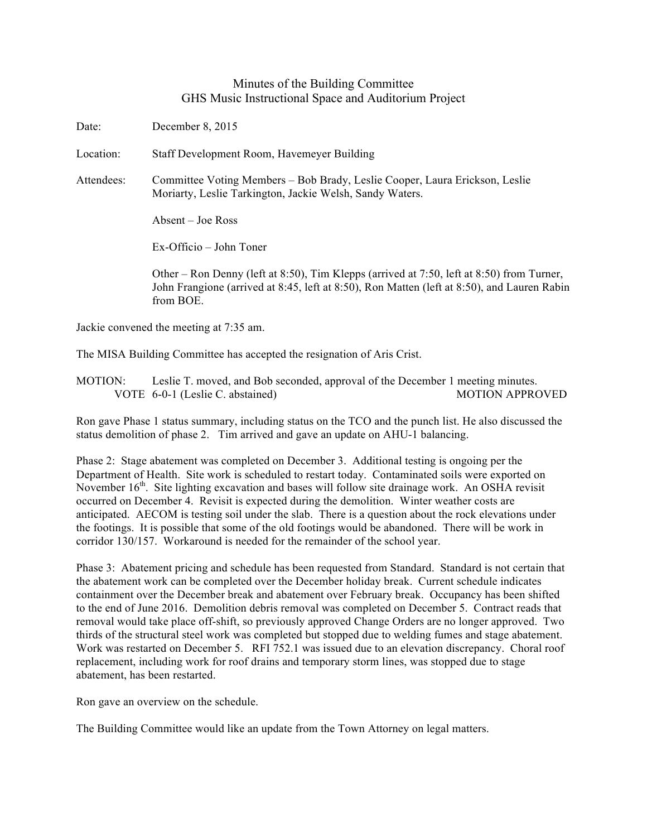## Minutes of the Building Committee GHS Music Instructional Space and Auditorium Project

Date: December 8, 2015

Location: Staff Development Room, Havemeyer Building

Attendees: Committee Voting Members – Bob Brady, Leslie Cooper, Laura Erickson, Leslie Moriarty, Leslie Tarkington, Jackie Welsh, Sandy Waters.

Absent – Joe Ross

Ex-Officio – John Toner

Other – Ron Denny (left at 8:50), Tim Klepps (arrived at 7:50, left at 8:50) from Turner, John Frangione (arrived at 8:45, left at 8:50), Ron Matten (left at 8:50), and Lauren Rabin from BOE.

Jackie convened the meeting at 7:35 am.

The MISA Building Committee has accepted the resignation of Aris Crist.

MOTION: Leslie T. moved, and Bob seconded, approval of the December 1 meeting minutes. VOTE 6-0-1 (Leslie C. abstained) MOTION APPROVED

Ron gave Phase 1 status summary, including status on the TCO and the punch list. He also discussed the status demolition of phase 2. Tim arrived and gave an update on AHU-1 balancing.

Phase 2: Stage abatement was completed on December 3. Additional testing is ongoing per the Department of Health. Site work is scheduled to restart today. Contaminated soils were exported on November 16<sup>th</sup>. Site lighting excavation and bases will follow site drainage work. An OSHA revisit occurred on December 4. Revisit is expected during the demolition. Winter weather costs are anticipated. AECOM is testing soil under the slab. There is a question about the rock elevations under the footings. It is possible that some of the old footings would be abandoned. There will be work in corridor 130/157. Workaround is needed for the remainder of the school year.

Phase 3: Abatement pricing and schedule has been requested from Standard. Standard is not certain that the abatement work can be completed over the December holiday break. Current schedule indicates containment over the December break and abatement over February break. Occupancy has been shifted to the end of June 2016. Demolition debris removal was completed on December 5. Contract reads that removal would take place off-shift, so previously approved Change Orders are no longer approved. Two thirds of the structural steel work was completed but stopped due to welding fumes and stage abatement. Work was restarted on December 5. RFI 752.1 was issued due to an elevation discrepancy. Choral roof replacement, including work for roof drains and temporary storm lines, was stopped due to stage abatement, has been restarted.

Ron gave an overview on the schedule.

The Building Committee would like an update from the Town Attorney on legal matters.